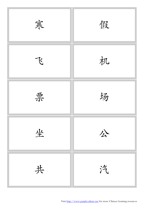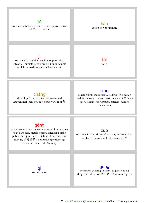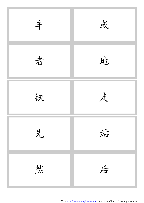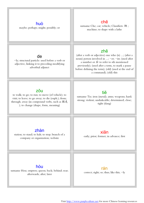

Visit<http://www.purpleculture.net> for more Chinese learning resources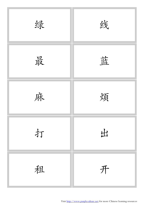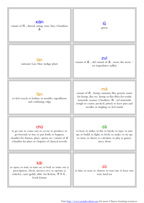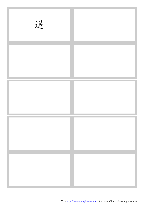| 送 |  |
|---|--|
|   |  |
|   |  |
|   |  |
|   |  |